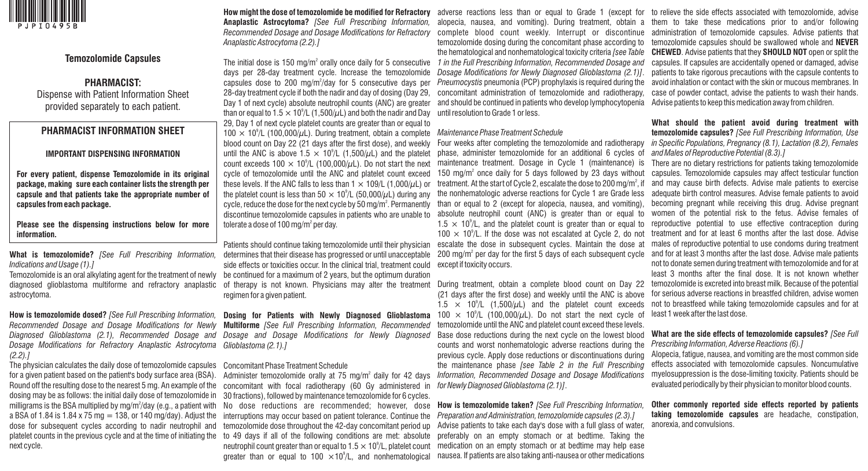

## **Temozolomide Capsules**

# **PHARMACIST:**

Dispense with Patient Information Sheet provided separately to each patient.

# **PHARMACIST INFORMATION SHEET**

## **IMPORTANT DISPENSING INFORMATION**

**For every patient, dispense Temozolomide in its original package, making sure each container lists the strength per capsule and that patients take the appropriate number of capsules from each package.**

**Please see the dispensing instructions below for more information.**

**What is temozolomide?** *[See Full Prescribing Information, Indications and Usage (1).]* 

Temozolomide is an oral alkylating agent for the treatment of newly be continued for a maximum of 2 years, but the optimum duration diagnosed glioblastoma multiforme and refractory anaplastic of therapy is not known. Physicians may alter the treatment astrocytoma.

**How is temozolomide dosed?** *[See Full Prescribing Information, Recommended Dosage and Dosage Modifications for Newly Diagnosed Glioblastoma (2.1), Recommended Dosage and Dosage Modifications for Refractory Anaplastic Astrocytoma (2.2).]*

The physician calculates the daily dose of temozolomide capsules for a given patient based on the patient's body surface area (BSA). Round off the resulting dose to the nearest 5 mg. An example of the dosing may be as follows: the initial daily dose of temozolomide in milligrams is the BSA multiplied by mg/m<sup>2</sup>/day (e.g., a patient with a BSA of 1.84 is 1.84 x 75 mg  $= 138$ , or 140 mg/day). Adjust the dose for subsequent cycles according to nadir neutrophil and next cycle.

**How might the dose of temozolomide be modified for Refractory Anaplastic Astrocytoma?** *[See Full Prescribing Information, Recommended Dosage and Dosage Modifications for Refractory Anaplastic Astrocytoma (2.2).]*

The initial dose is 150 mg/m $\degree$  orally once daily for 5 consecutive days per 28-day treatment cycle. Increase the temozolomide capsules dose to 200 mg/m $\frac{200}{10}$  for 5 consecutive days per 28-day treatment cycle if both the nadir and day of dosing (Day 29, Day 1 of next cycle) absolute neutrophil counts (ANC) are greater than or equal to 1.5  $\times$  10 $^{\circ}$ /L (1,500/ $\mu$ L) and both the nadir and Day 29, Day 1 of next cycle platelet counts are greater than or equal to 100  $\times$  10<sup>9</sup>/L (100,000/ $\mu$ L). During treatment, obtain a complete Maintenance Phase Treatment Schedule blood count on Day 22 (21 days after the first dose), and weekly until the ANC is above 1.5  $\times$  10<sup>9</sup>/L (1,500/ $\mu$ L) and the platelet count exceeds 100  $\times$  10<sup>9</sup>/L (100,000/ $\mu$ L). Do not start the next cycle of temozolomide until the ANC and platelet count exceed these levels. If the ANC falls to less than  $1 \times 109/L$  (1,000/ $\mu$ L) or the platelet count is less than 50  $\times$  10 $^{\circ}$ /L (50,000/ $\mu$ L) during any cycle, reduce the dose for the next cycle by 50 mg/m $^2$ . Permanently discontinue temozolomide capsules in patients who are unable to tolerate a dose of 100 mg/m $^{\circ}$  per day.

Patients should continue taking temozolomide until their physician determines that their disease has progressed or until unacceptable side effects or toxicities occur. In the clinical trial, treatment could regimen for a given patient.

**Dosing for Patients with Newly Diagnosed Glioblastoma Multiforme** *[See Full Prescribing Information, Recommended Dosage and Dosage Modifications for Newly Diagnosed Glioblastoma (2.1).]*

#### Concomitant Phase Treatment Schedule

platelet counts in the previous cycle and at the time of initiating the to 49 days if all of the following conditions are met: absolute Administer temozolomide orally at 75 mg/m<sup>2</sup> daily for 42 days concomitant with focal radiotherapy (60 Gy administered in *for Newly Diagnosed Glioblastoma (2.1)]*. 30 fractions), followed by maintenance temozolomide for 6 cycles. interruptions may occur based on patient tolerance. Continue the temozolomide dose throughout the 42-day concomitant period up neutrophil count greater than or equal to 1.5  $\times$  10 $^{\circ}$ /L, platelet count greater than or equal to 100  $\times$ 10 $^{\circ}/$ L, and nonhematological

complete blood count weekly. Interrupt or discontinue temozolomide dosing during the concomitant phase according to the hematological and nonhematological toxicity criteria *[see Table 1 in the Full Prescribing Information, Recommended Dosage and Dosage Modifications for Newly Diagnosed Glioblastoma (2.1)]*. concomitant administration of temozolomide and radiotherapy, and should be continued in patients who develop lymphocytopenia until resolution to Grade 1 or less.

Four weeks after completing the temozolomide and radiotherapy phase, administer temozolomide for an additional 6 cycles of maintenance treatment. Dosage in Cycle 1 (maintenance) is 150 mg/ $m<sup>2</sup>$  once daily for 5 days followed by 23 days without treatment. At the start of Cycle 2, escalate the dose to 200 mg/m $^{\circ}$ , if the nonhematologic adverse reactions for Cycle 1 are Grade less than or equal to 2 (except for alopecia, nausea, and vomiting), absolute neutrophil count (ANC) is greater than or equal to  $1.5 \times 10^{9}$ /L, and the platelet count is greater than or equal to  $100 \times 10^{9}$ /L. If the dose was not escalated at Cycle 2, do not escalate the dose in subsequent cycles. Maintain the dose at  $200 \text{ mg/m}^2$  per day for the first 5 days of each subsequent cycle except if toxicity occurs.

During treatment, obtain a complete blood count on Day 22 (21 days after the first dose) and weekly until the ANC is above  $1.5 \times 10^9$ /L (1,500/ $\mu$ L) and the platelet count exceeds 100  $\times$  10<sup>9</sup>/L (100,000/ $\mu$ L). Do not start the next cycle of temozolomide until the ANC and platelet count exceed these levels. Base dose reductions during the next cycle on the lowest blood counts and worst nonhematologic adverse reactions during the previous cycle. Apply dose reductions or discontinuations during the maintenance phase *[see Table 2 in the Full Prescribing Information, Recommended Dosage and Dosage Modifications* 

No dose reductions are recommended; however, dose **How is temozolomide taken?** *[See Full Prescribing Information, Preparation and Administration, temozolomide capsules (2.3).]* Advise patients to take each day's dose with a full glass of water, preferably on an empty stomach or at bedtime. Taking the medication on an empty stomach or at bedtime may help ease nausea. If patients are also taking anti-nausea or other medications

adverse reactions less than or equal to Grade 1 (except for to relieve the side effects associated with temozolomide, advise alopecia, nausea, and vomiting). During treatment, obtain a them to take these medications prior to and/or following *Pneumocystis* pneumonia (PCP) prophylaxis is required during the avoid inhalation or contact with the skin or mucous membranes. In administration of temozolomide capsules. Advise patients that temozolomide capsules should be swallowed whole and **NEVER CHEWED**. Advise patients that they **SHOULD NOT** open or split the capsules. If capsules are accidentally opened or damaged, advise patients to take rigorous precautions with the capsule contents to case of powder contact, advise the patients to wash their hands. Advise patients to keep this medication away from children.

> **What should the patient avoid during treatment with temozolomide capsules?** *[See Full Prescribing Information, Use in Specific Populations, Pregnancy (8.1), Lactation (8.2), Females and Males of Reproductive Potential (8.3).]*

> There are no dietary restrictions for patients taking temozolomide capsules. Temozolomide capsules may affect testicular function and may cause birth defects. Advise male patients to exercise adequate birth control measures. Advise female patients to avoid becoming pregnant while receiving this drug. Advise pregnant women of the potential risk to the fetus. Advise females of reproductive potential to use effective contraception during treatment and for at least 6 months after the last dose. Advise males of reproductive potential to use condoms during treatment and for at least 3 months after the last dose. Advise male patients not to donate semen during treatment with temozolomide and for at least 3 months after the final dose. It is not known whether temozolomide is excreted into breast milk. Because of the potential for serious adverse reactions in breastfed children, advise women not to breastfeed while taking temozolomide capsules and for at least 1 week after the last dose.

> **What are the side effects of temozolomide capsules?** *[See Full Prescribing Information, Adverse Reactions (6).]* Alopecia, fatigue, nausea, and vomiting are the most common side effects associated with temozolomide capsules. Noncumulative myelosuppression is the dose-limiting toxicity. Patients should be evaluated periodically by their physician to monitor blood counts.

> **Other commonly reported side effects reported by patients taking temozolomide capsules** are headache, constipation, anorexia, and convulsions.